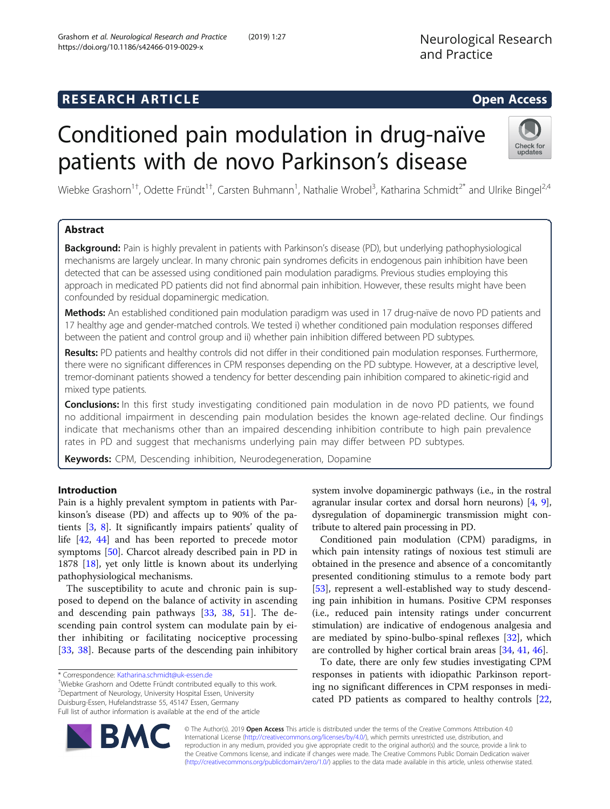Neurological Research

and Practice

# Conditioned pain modulation in drug-naïve patients with de novo Parkinson's disease



Wiebke Grashorn<sup>1+</sup>, Odette Fründt<sup>1+</sup>, Carsten Buhmann<sup>1</sup>, Nathalie Wrobel<sup>3</sup>, Katharina Schmidt<sup>2\*</sup> and Ulrike Bingel<sup>2,4</sup>

## Abstract

Background: Pain is highly prevalent in patients with Parkinson's disease (PD), but underlying pathophysiological mechanisms are largely unclear. In many chronic pain syndromes deficits in endogenous pain inhibition have been detected that can be assessed using conditioned pain modulation paradigms. Previous studies employing this approach in medicated PD patients did not find abnormal pain inhibition. However, these results might have been confounded by residual dopaminergic medication.

Methods: An established conditioned pain modulation paradigm was used in 17 drug-naïve de novo PD patients and 17 healthy age and gender-matched controls. We tested i) whether conditioned pain modulation responses differed between the patient and control group and ii) whether pain inhibition differed between PD subtypes.

Results: PD patients and healthy controls did not differ in their conditioned pain modulation responses. Furthermore, there were no significant differences in CPM responses depending on the PD subtype. However, at a descriptive level, tremor-dominant patients showed a tendency for better descending pain inhibition compared to akinetic-rigid and mixed type patients.

**Conclusions:** In this first study investigating conditioned pain modulation in de novo PD patients, we found no additional impairment in descending pain modulation besides the known age-related decline. Our findings indicate that mechanisms other than an impaired descending inhibition contribute to high pain prevalence rates in PD and suggest that mechanisms underlying pain may differ between PD subtypes.

Keywords: CPM, Descending inhibition, Neurodegeneration, Dopamine

## Introduction

Pain is a highly prevalent symptom in patients with Parkinson's disease (PD) and affects up to 90% of the patients [[3,](#page-7-0) [8](#page-7-0)]. It significantly impairs patients' quality of life [\[42](#page-8-0), [44](#page-8-0)] and has been reported to precede motor symptoms [\[50\]](#page-8-0). Charcot already described pain in PD in 1878 [[18](#page-7-0)], yet only little is known about its underlying pathophysiological mechanisms.

The susceptibility to acute and chronic pain is supposed to depend on the balance of activity in ascending and descending pain pathways [\[33](#page-8-0), [38,](#page-8-0) [51\]](#page-8-0). The descending pain control system can modulate pain by either inhibiting or facilitating nociceptive processing [[33,](#page-8-0) [38](#page-8-0)]. Because parts of the descending pain inhibitory

Wiebke Grashorn and Odette Fründt contributed equally to this work. 2 Department of Neurology, University Hospital Essen, University Duisburg-Essen, Hufelandstrasse 55, 45147 Essen, Germany Full list of author information is available at the end of the article

system involve dopaminergic pathways (i.e., in the rostral agranular insular cortex and dorsal horn neurons) [[4,](#page-7-0) [9](#page-7-0)], dysregulation of dopaminergic transmission might contribute to altered pain processing in PD.

Conditioned pain modulation (CPM) paradigms, in which pain intensity ratings of noxious test stimuli are obtained in the presence and absence of a concomitantly presented conditioning stimulus to a remote body part [[53\]](#page-8-0), represent a well-established way to study descending pain inhibition in humans. Positive CPM responses (i.e., reduced pain intensity ratings under concurrent stimulation) are indicative of endogenous analgesia and are mediated by spino-bulbo-spinal reflexes [[32\]](#page-8-0), which are controlled by higher cortical brain areas [\[34](#page-8-0), [41](#page-8-0), [46](#page-8-0)].

To date, there are only few studies investigating CPM responses in patients with idiopathic Parkinson reporting no significant differences in CPM responses in medicated PD patients as compared to healthy controls [[22](#page-8-0),



© The Author(s). 2019 Open Access This article is distributed under the terms of the Creative Commons Attribution 4.0 International License [\(http://creativecommons.org/licenses/by/4.0/](http://creativecommons.org/licenses/by/4.0/)), which permits unrestricted use, distribution, and reproduction in any medium, provided you give appropriate credit to the original author(s) and the source, provide a link to the Creative Commons license, and indicate if changes were made. The Creative Commons Public Domain Dedication waiver [\(http://creativecommons.org/publicdomain/zero/1.0/](http://creativecommons.org/publicdomain/zero/1.0/)) applies to the data made available in this article, unless otherwise stated.

<sup>\*</sup> Correspondence: [Katharina.schmidt@uk-essen.de](mailto:Katharina.schmidt@uk-essen.de) †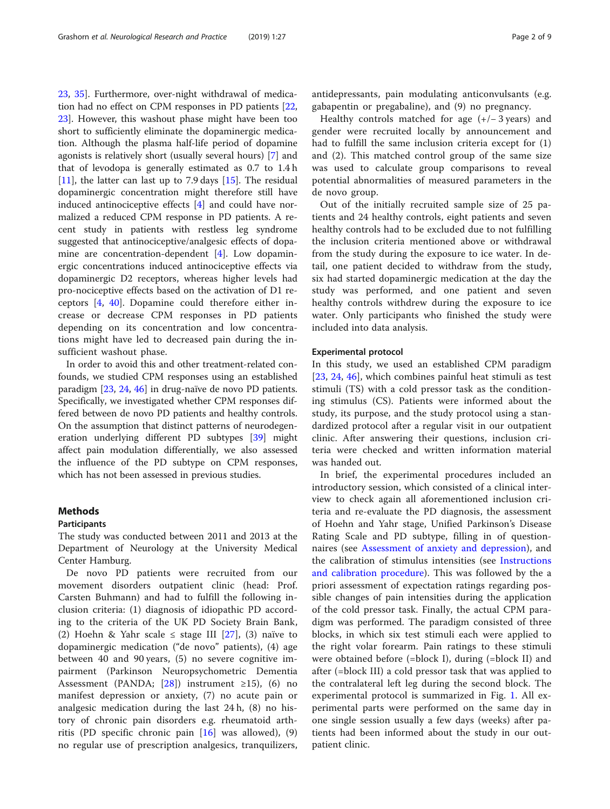<span id="page-1-0"></span>[23,](#page-8-0) [35\]](#page-8-0). Furthermore, over-night withdrawal of medication had no effect on CPM responses in PD patients [[22](#page-8-0), [23\]](#page-8-0). However, this washout phase might have been too short to sufficiently eliminate the dopaminergic medication. Although the plasma half-life period of dopamine agonists is relatively short (usually several hours) [\[7](#page-7-0)] and that of levodopa is generally estimated as 0.7 to 1.4 h  $[11]$  $[11]$ , the latter can last up to 7.9 days  $[15]$ . The residual dopaminergic concentration might therefore still have induced antinociceptive effects [\[4](#page-7-0)] and could have normalized a reduced CPM response in PD patients. A recent study in patients with restless leg syndrome suggested that antinociceptive/analgesic effects of dopamine are concentration-dependent [\[4](#page-7-0)]. Low dopaminergic concentrations induced antinociceptive effects via dopaminergic D2 receptors, whereas higher levels had pro-nociceptive effects based on the activation of D1 receptors [[4](#page-7-0), [40](#page-8-0)]. Dopamine could therefore either increase or decrease CPM responses in PD patients depending on its concentration and low concentrations might have led to decreased pain during the insufficient washout phase.

In order to avoid this and other treatment-related confounds, we studied CPM responses using an established paradigm [\[23](#page-8-0), [24,](#page-8-0) [46\]](#page-8-0) in drug-naïve de novo PD patients. Specifically, we investigated whether CPM responses differed between de novo PD patients and healthy controls. On the assumption that distinct patterns of neurodegeneration underlying different PD subtypes [\[39\]](#page-8-0) might affect pain modulation differentially, we also assessed the influence of the PD subtype on CPM responses, which has not been assessed in previous studies.

## Methods

## Participants

The study was conducted between 2011 and 2013 at the Department of Neurology at the University Medical Center Hamburg.

De novo PD patients were recruited from our movement disorders outpatient clinic (head: Prof. Carsten Buhmann) and had to fulfill the following inclusion criteria: (1) diagnosis of idiopathic PD according to the criteria of the UK PD Society Brain Bank, (2) Hoehn & Yahr scale  $\leq$  stage III [[27\]](#page-8-0), (3) naïve to dopaminergic medication ("de novo" patients), (4) age between 40 and 90 years, (5) no severe cognitive impairment (Parkinson Neuropsychometric Dementia Assessment (PANDA; [\[28](#page-8-0)]) instrument  $\geq$ 15), (6) no manifest depression or anxiety, (7) no acute pain or analgesic medication during the last 24 h, (8) no history of chronic pain disorders e.g. rheumatoid arthritis (PD specific chronic pain  $[16]$  $[16]$  $[16]$  was allowed), (9) no regular use of prescription analgesics, tranquilizers, antidepressants, pain modulating anticonvulsants (e.g. gabapentin or pregabaline), and (9) no pregnancy.

Healthy controls matched for age (+/− 3 years) and gender were recruited locally by announcement and had to fulfill the same inclusion criteria except for (1) and (2). This matched control group of the same size was used to calculate group comparisons to reveal potential abnormalities of measured parameters in the de novo group.

Out of the initially recruited sample size of 25 patients and 24 healthy controls, eight patients and seven healthy controls had to be excluded due to not fulfilling the inclusion criteria mentioned above or withdrawal from the study during the exposure to ice water. In detail, one patient decided to withdraw from the study, six had started dopaminergic medication at the day the study was performed, and one patient and seven healthy controls withdrew during the exposure to ice water. Only participants who finished the study were included into data analysis.

## Experimental protocol

In this study, we used an established CPM paradigm [[23,](#page-8-0) [24](#page-8-0), [46\]](#page-8-0), which combines painful heat stimuli as test stimuli (TS) with a cold pressor task as the conditioning stimulus (CS). Patients were informed about the study, its purpose, and the study protocol using a standardized protocol after a regular visit in our outpatient clinic. After answering their questions, inclusion criteria were checked and written information material was handed out.

In brief, the experimental procedures included an introductory session, which consisted of a clinical interview to check again all aforementioned inclusion criteria and re-evaluate the PD diagnosis, the assessment of Hoehn and Yahr stage, Unified Parkinson's Disease Rating Scale and PD subtype, filling in of questionnaires (see [Assessment of anxiety and depression](#page-3-0)), and the calibration of stimulus intensities (see [Instructions](#page-2-0) [and calibration procedure](#page-2-0)). This was followed by the a priori assessment of expectation ratings regarding possible changes of pain intensities during the application of the cold pressor task. Finally, the actual CPM paradigm was performed. The paradigm consisted of three blocks, in which six test stimuli each were applied to the right volar forearm. Pain ratings to these stimuli were obtained before (=block I), during (=block II) and after (=block III) a cold pressor task that was applied to the contralateral left leg during the second block. The experimental protocol is summarized in Fig. [1](#page-2-0). All experimental parts were performed on the same day in one single session usually a few days (weeks) after patients had been informed about the study in our outpatient clinic.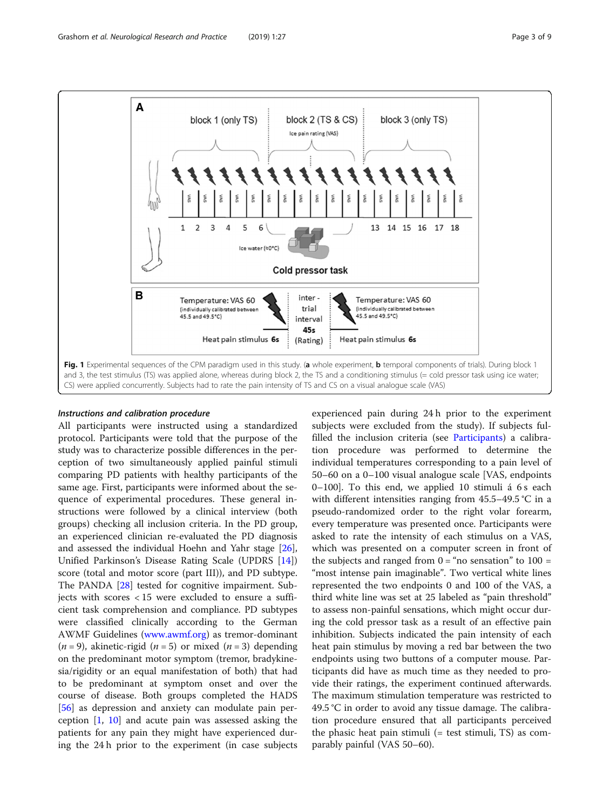<span id="page-2-0"></span>

## Instructions and calibration procedure

All participants were instructed using a standardized protocol. Participants were told that the purpose of the study was to characterize possible differences in the perception of two simultaneously applied painful stimuli comparing PD patients with healthy participants of the same age. First, participants were informed about the sequence of experimental procedures. These general instructions were followed by a clinical interview (both groups) checking all inclusion criteria. In the PD group, an experienced clinician re-evaluated the PD diagnosis and assessed the individual Hoehn and Yahr stage [\[26](#page-8-0)], Unified Parkinson's Disease Rating Scale (UPDRS [\[14](#page-7-0)]) score (total and motor score (part III)), and PD subtype. The PANDA [\[28\]](#page-8-0) tested for cognitive impairment. Subjects with scores < 15 were excluded to ensure a sufficient task comprehension and compliance. PD subtypes were classified clinically according to the German AWMF Guidelines ([www.awmf.org\)](http://www.awmf.org) as tremor-dominant  $(n = 9)$ , akinetic-rigid  $(n = 5)$  or mixed  $(n = 3)$  depending on the predominant motor symptom (tremor, bradykinesia/rigidity or an equal manifestation of both) that had to be predominant at symptom onset and over the course of disease. Both groups completed the HADS [[56\]](#page-8-0) as depression and anxiety can modulate pain perception [\[1](#page-7-0), [10\]](#page-7-0) and acute pain was assessed asking the patients for any pain they might have experienced during the 24 h prior to the experiment (in case subjects experienced pain during 24 h prior to the experiment subjects were excluded from the study). If subjects fulfilled the inclusion criteria (see [Participants](#page-1-0)) a calibration procedure was performed to determine the individual temperatures corresponding to a pain level of 50–60 on a 0–100 visual analogue scale [VAS, endpoints 0–100]. To this end, we applied 10 stimuli á  $6s$  each with different intensities ranging from 45.5–49.5 °C in a pseudo-randomized order to the right volar forearm, every temperature was presented once. Participants were asked to rate the intensity of each stimulus on a VAS, which was presented on a computer screen in front of the subjects and ranged from  $0 = \text{``no sensation''}$  to  $100 =$ "most intense pain imaginable". Two vertical white lines represented the two endpoints 0 and 100 of the VAS, a third white line was set at 25 labeled as "pain threshold" to assess non-painful sensations, which might occur during the cold pressor task as a result of an effective pain inhibition. Subjects indicated the pain intensity of each heat pain stimulus by moving a red bar between the two endpoints using two buttons of a computer mouse. Participants did have as much time as they needed to provide their ratings, the experiment continued afterwards. The maximum stimulation temperature was restricted to 49.5 °C in order to avoid any tissue damage. The calibration procedure ensured that all participants perceived the phasic heat pain stimuli (= test stimuli, TS) as comparably painful (VAS 50–60).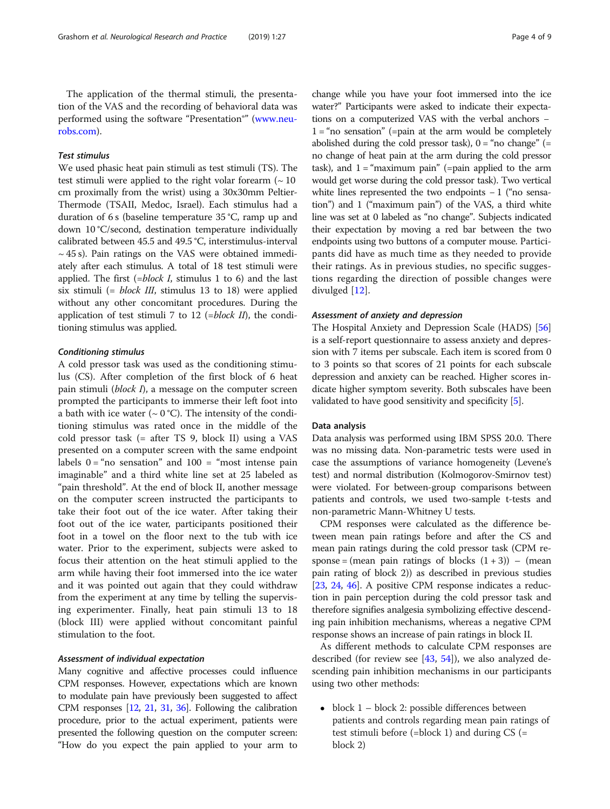<span id="page-3-0"></span>The application of the thermal stimuli, the presentation of the VAS and the recording of behavioral data was performed using the software "Presentation®" [\(www.neu](http://www.neurobs.com)[robs.com](http://www.neurobs.com)).

## Test stimulus

We used phasic heat pain stimuli as test stimuli (TS). The test stimuli were applied to the right volar forearm  $($   $\sim$  10 cm proximally from the wrist) using a 30x30mm Peltier-Thermode (TSAII, Medoc, Israel). Each stimulus had a duration of 6 s (baseline temperature 35 °C, ramp up and down 10 °C/second, destination temperature individually calibrated between 45.5 and 49.5 °C, interstimulus-interval  $\sim$  45 s). Pain ratings on the VAS were obtained immediately after each stimulus. A total of 18 test stimuli were applied. The first  $(=block I,$  stimulus 1 to 6) and the last six stimuli (= block III, stimulus 13 to 18) were applied without any other concomitant procedures. During the application of test stimuli 7 to 12 (=block II), the conditioning stimulus was applied.

## Conditioning stimulus

A cold pressor task was used as the conditioning stimulus (CS). After completion of the first block of 6 heat pain stimuli (block I), a message on the computer screen prompted the participants to immerse their left foot into a bath with ice water ( $\sim 0$  °C). The intensity of the conditioning stimulus was rated once in the middle of the cold pressor task (= after TS 9, block II) using a VAS presented on a computer screen with the same endpoint labels  $0 = \text{``no sensation''}$  and  $100 = \text{``most intense pain}$ imaginable" and a third white line set at 25 labeled as "pain threshold". At the end of block II, another message on the computer screen instructed the participants to take their foot out of the ice water. After taking their foot out of the ice water, participants positioned their foot in a towel on the floor next to the tub with ice water. Prior to the experiment, subjects were asked to focus their attention on the heat stimuli applied to the arm while having their foot immersed into the ice water and it was pointed out again that they could withdraw from the experiment at any time by telling the supervising experimenter. Finally, heat pain stimuli 13 to 18 (block III) were applied without concomitant painful stimulation to the foot.

## Assessment of individual expectation

Many cognitive and affective processes could influence CPM responses. However, expectations which are known to modulate pain have previously been suggested to affect CPM responses [\[12](#page-7-0), [21,](#page-8-0) [31](#page-8-0), [36\]](#page-8-0). Following the calibration procedure, prior to the actual experiment, patients were presented the following question on the computer screen: "How do you expect the pain applied to your arm to

change while you have your foot immersed into the ice water?" Participants were asked to indicate their expectations on a computerized VAS with the verbal anchors −  $1 =$ "no sensation" (=pain at the arm would be completely abolished during the cold pressor task),  $0 = \text{``no change''} (=$ no change of heat pain at the arm during the cold pressor task), and  $1 =$  "maximum pain" (=pain applied to the arm would get worse during the cold pressor task). Two vertical white lines represented the two endpoints − 1 ("no sensation") and 1 ("maximum pain") of the VAS, a third white line was set at 0 labeled as "no change". Subjects indicated their expectation by moving a red bar between the two endpoints using two buttons of a computer mouse. Participants did have as much time as they needed to provide their ratings. As in previous studies, no specific suggestions regarding the direction of possible changes were divulged [[12](#page-7-0)].

## Assessment of anxiety and depression

The Hospital Anxiety and Depression Scale (HADS) [[56](#page-8-0)] is a self-report questionnaire to assess anxiety and depression with 7 items per subscale. Each item is scored from 0 to 3 points so that scores of 21 points for each subscale depression and anxiety can be reached. Higher scores indicate higher symptom severity. Both subscales have been validated to have good sensitivity and specificity [\[5](#page-7-0)].

## Data analysis

Data analysis was performed using IBM SPSS 20.0. There was no missing data. Non-parametric tests were used in case the assumptions of variance homogeneity (Levene's test) and normal distribution (Kolmogorov-Smirnov test) were violated. For between-group comparisons between patients and controls, we used two-sample t-tests and non-parametric Mann-Whitney U tests.

CPM responses were calculated as the difference between mean pain ratings before and after the CS and mean pain ratings during the cold pressor task (CPM response = (mean pain ratings of blocks  $(1 + 3)$ ) – (mean pain rating of block 2)) as described in previous studies [[23](#page-8-0), [24,](#page-8-0) [46](#page-8-0)]. A positive CPM response indicates a reduction in pain perception during the cold pressor task and therefore signifies analgesia symbolizing effective descending pain inhibition mechanisms, whereas a negative CPM response shows an increase of pain ratings in block II.

As different methods to calculate CPM responses are described (for review see  $[43, 54]$  $[43, 54]$  $[43, 54]$  $[43, 54]$  $[43, 54]$ ), we also analyzed descending pain inhibition mechanisms in our participants using two other methods:

 $\bullet$  block 1 – block 2: possible differences between patients and controls regarding mean pain ratings of test stimuli before (=block 1) and during CS (= block 2)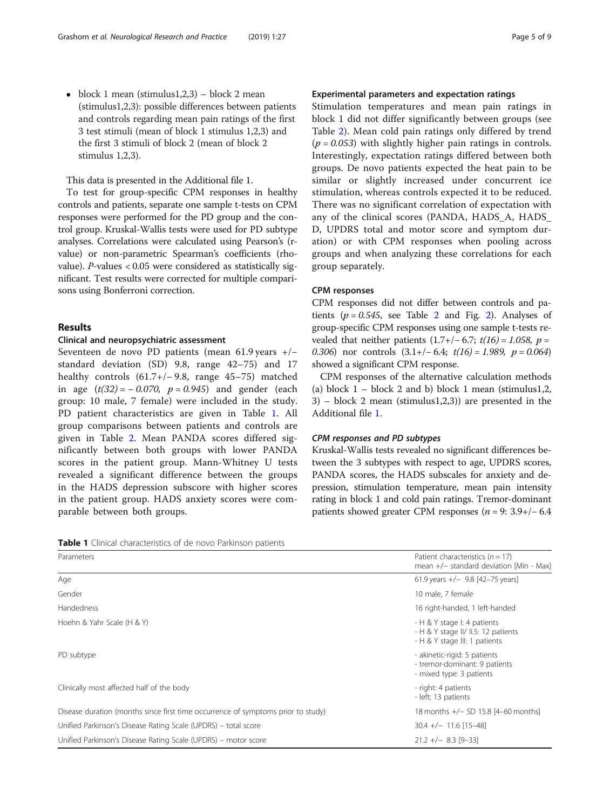$\bullet$  block 1 mean (stimulus1,2,3) – block 2 mean (stimulus1,2,3): possible differences between patients and controls regarding mean pain ratings of the first 3 test stimuli (mean of block 1 stimulus 1,2,3) and the first 3 stimuli of block 2 (mean of block 2 stimulus 1,2,3).

This data is presented in the Additional file 1.

To test for group-specific CPM responses in healthy controls and patients, separate one sample t-tests on CPM responses were performed for the PD group and the control group. Kruskal-Wallis tests were used for PD subtype analyses. Correlations were calculated using Pearson's (rvalue) or non-parametric Spearman's coefficients (rhovalue). P-values < 0.05 were considered as statistically significant. Test results were corrected for multiple comparisons using Bonferroni correction.

## Results

## Clinical and neuropsychiatric assessment

Seventeen de novo PD patients (mean 61.9 years +/− standard deviation (SD) 9.8, range 42–75) and 17 healthy controls (61.7+/− 9.8, range 45–75) matched in age  $(t(32) = -0.070, p = 0.945)$  and gender (each group: 10 male, 7 female) were included in the study. PD patient characteristics are given in Table 1. All group comparisons between patients and controls are given in Table [2.](#page-5-0) Mean PANDA scores differed significantly between both groups with lower PANDA scores in the patient group. Mann-Whitney U tests revealed a significant difference between the groups in the HADS depression subscore with higher scores in the patient group. HADS anxiety scores were comparable between both groups.

## Experimental parameters and expectation ratings

Stimulation temperatures and mean pain ratings in block 1 did not differ significantly between groups (see Table [2\)](#page-5-0). Mean cold pain ratings only differed by trend  $(p = 0.053)$  with slightly higher pain ratings in controls. Interestingly, expectation ratings differed between both groups. De novo patients expected the heat pain to be similar or slightly increased under concurrent ice stimulation, whereas controls expected it to be reduced. There was no significant correlation of expectation with any of the clinical scores (PANDA, HADS\_A, HADS\_ D, UPDRS total and motor score and symptom duration) or with CPM responses when pooling across groups and when analyzing these correlations for each group separately.

## CPM responses

CPM responses did not differ between controls and patients ( $p = 0.545$ , see Table [2](#page-5-0) and Fig. 2). Analyses of group-specific CPM responses using one sample t-tests revealed that neither patients  $(1.7+/- 6.7; t(16) = 1.058, p =$ 0.306) nor controls  $(3.1+/-6.4; t(16) = 1.989, p = 0.064)$ showed a significant CPM response.

CPM responses of the alternative calculation methods (a) block  $1 -$  block 2 and b) block 1 mean (stimulus1,2, 3) – block 2 mean (stimulus1,2,3)) are presented in the Additional file [1](#page-7-0).

## CPM responses and PD subtypes

Kruskal-Wallis tests revealed no significant differences between the 3 subtypes with respect to age, UPDRS scores, PANDA scores, the HADS subscales for anxiety and depression, stimulation temperature, mean pain intensity rating in block 1 and cold pain ratings. Tremor-dominant patients showed greater CPM responses ( $n = 9$ : 3.9+/-6.4

| Table 1 Clinical characteristics of de novo Parkinson patients |
|----------------------------------------------------------------|
|----------------------------------------------------------------|

| Parameters                                                                       | Patient characteristics $(n = 17)$<br>mean $+/-$ standard deviation [Min - Max]                     |
|----------------------------------------------------------------------------------|-----------------------------------------------------------------------------------------------------|
| Age                                                                              | 61.9 years $+/-$ 9.8 [42-75 years]                                                                  |
| Gender                                                                           | 10 male, 7 female                                                                                   |
| <b>Handedness</b>                                                                | 16 right-handed, 1 left-handed                                                                      |
| Hoehn & Yahr Scale (H & Y)                                                       | - H & Y stage I: 4 patients<br>- H & Y stage II/ II.5: 12 patients<br>- H & Y stage III: 1 patients |
| PD subtype                                                                       | - akinetic-rigid: 5 patients<br>- tremor-dominant: 9 patients<br>- mixed type: 3 patients           |
| Clinically most affected half of the body                                        | - right: 4 patients<br>- left: 13 patients                                                          |
| Disease duration (months since first time occurrence of symptoms prior to study) | 18 months +/- SD 15.8 [4-60 months]                                                                 |
| Unified Parkinson's Disease Rating Scale (UPDRS) – total score                   | $30.4 +/- 11.6$ [15-48]                                                                             |
| Unified Parkinson's Disease Rating Scale (UPDRS) – motor score                   | $21.2 +/- 8.3$ [9-33]                                                                               |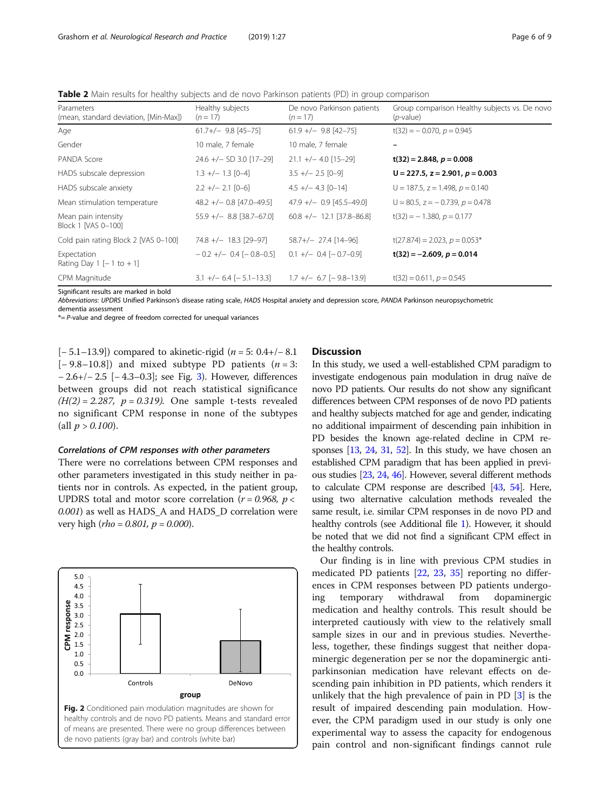<span id="page-5-0"></span>**Table 2** Main results for healthy subjects and de novo Parkinson patients (PD) in group comparison

| Parameters<br>(mean, standard deviation, [Min-Max]) | Healthy subjects<br>$(n = 17)$ | De novo Parkinson patients<br>$(n = 17)$ | Group comparison Healthy subjects vs. De novo<br>$(p$ -value) |
|-----------------------------------------------------|--------------------------------|------------------------------------------|---------------------------------------------------------------|
| Age                                                 | $61.7+/-$ 9.8 [45-75]          | $61.9 +/- 9.8 [42-75]$                   | $t(32) = -0.070$ , $p = 0.945$                                |
| Gender                                              | 10 male, 7 female              | 10 male, 7 female                        |                                                               |
| PANDA Score                                         | $24.6 +/- SD 3.0 [17-29]$      | $21.1 +/- 4.0$ [15-29]                   | $t(32) = 2.848, p = 0.008$                                    |
| HADS subscale depression                            | $1.3 +/- 1.3$ [0-4]            | $3.5 +/- 2.5$ [0-9]                      | $U = 227.5$ , $z = 2.901$ , $p = 0.003$                       |
| HADS subscale anxiety                               | $2.2 +/- 2.1$ [0-6]            | $4.5 +/- 4.3$ [0-14]                     | $U = 187.5$ , $z = 1.498$ , $p = 0.140$                       |
| Mean stimulation temperature                        | $48.2 +/- 0.8$ [47.0-49.5]     | $47.9 +/- 0.9$ [45.5-49.0]               | $U = 80.5$ , $z = -0.739$ , $p = 0.478$                       |
| Mean pain intensity<br>Block 1 [VAS 0-100]          | $55.9 +/-$ 8.8 [38.7-67.0]     | $60.8 +/- 12.1$ [37.8-86.8]              | $t(32) = -1.380, p = 0.177$                                   |
| Cold pain rating Block 2 [VAS 0-100]                | $74.8 +/- 18.3$ [29-97]        | $58.7 + / - 27.4$ [14-96]                | $t(27.874) = 2.023$ , $p = 0.053*$                            |
| Expectation<br>Rating Day 1 $[-1 \text{ to } +1]$   | $-0.2 + (-0.4 - 0.8 - 0.5)$    | $0.1 +/- 0.4 [-0.7 - 0.9]$               | $t(32) = -2.609$ , $p = 0.014$                                |
| CPM Magnitude                                       | $3.1 +/- 6.4 [-5.1 - 13.3]$    | $1.7 +/- 6.7 [-9.8 - 13.9]$              | $t(32) = 0.611$ , $p = 0.545$                                 |
|                                                     |                                |                                          |                                                               |

Significant results are marked in bold

Abbreviations: UPDRS Unified Parkinson's disease rating scale, HADS Hospital anxiety and depression score, PANDA Parkinson neuropsychometric

dementia assessment

 $* = P$ -value and degree of freedom corrected for unequal variances

[ $-5.1-13.9$ ]) compared to akinetic-rigid ( $n = 5$ : 0.4+/-8.1 [ $-9.8-10.8$ ]) and mixed subtype PD patients ( $n = 3$ : − 2.6+/− 2.5 [− 4.3–0.3]; see Fig. [3\)](#page-6-0). However, differences between groups did not reach statistical significance  $(H(2) = 2.287, p = 0.319)$ . One sample t-tests revealed no significant CPM response in none of the subtypes (all  $p > 0.100$ ).

## Correlations of CPM responses with other parameters

There were no correlations between CPM responses and other parameters investigated in this study neither in patients nor in controls. As expected, in the patient group, UPDRS total and motor score correlation ( $r = 0.968$ ,  $p <$ 0.001) as well as HADS\_A and HADS\_D correlation were very high (*rho* = 0.801,  $p = 0.000$ ).



## **Discussion**

In this study, we used a well-established CPM paradigm to investigate endogenous pain modulation in drug naïve de novo PD patients. Our results do not show any significant differences between CPM responses of de novo PD patients and healthy subjects matched for age and gender, indicating no additional impairment of descending pain inhibition in PD besides the known age-related decline in CPM responses [[13](#page-7-0), [24](#page-8-0), [31](#page-8-0), [52\]](#page-8-0). In this study, we have chosen an established CPM paradigm that has been applied in previous studies [\[23,](#page-8-0) [24,](#page-8-0) [46](#page-8-0)]. However, several different methods to calculate CPM response are described [\[43](#page-8-0), [54](#page-8-0)]. Here, using two alternative calculation methods revealed the same result, i.e. similar CPM responses in de novo PD and healthy controls (see Additional file [1\)](#page-7-0). However, it should be noted that we did not find a significant CPM effect in the healthy controls.

Our finding is in line with previous CPM studies in medicated PD patients [\[22](#page-8-0), [23](#page-8-0), [35](#page-8-0)] reporting no differences in CPM responses between PD patients undergoing temporary withdrawal from dopaminergic medication and healthy controls. This result should be interpreted cautiously with view to the relatively small sample sizes in our and in previous studies. Nevertheless, together, these findings suggest that neither dopaminergic degeneration per se nor the dopaminergic antiparkinsonian medication have relevant effects on descending pain inhibition in PD patients, which renders it unlikely that the high prevalence of pain in PD [[3\]](#page-7-0) is the result of impaired descending pain modulation. However, the CPM paradigm used in our study is only one experimental way to assess the capacity for endogenous pain control and non-significant findings cannot rule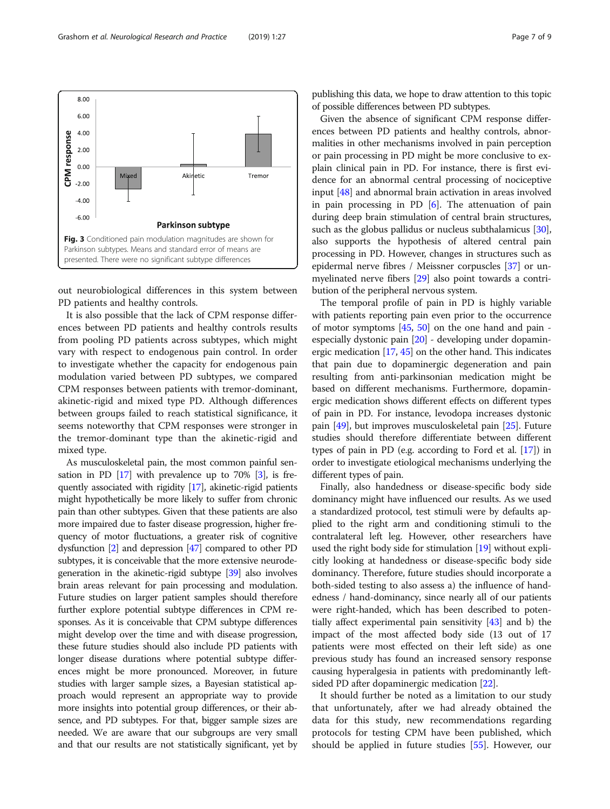<span id="page-6-0"></span>

out neurobiological differences in this system between PD patients and healthy controls.

It is also possible that the lack of CPM response differences between PD patients and healthy controls results from pooling PD patients across subtypes, which might vary with respect to endogenous pain control. In order to investigate whether the capacity for endogenous pain modulation varied between PD subtypes, we compared CPM responses between patients with tremor-dominant, akinetic-rigid and mixed type PD. Although differences between groups failed to reach statistical significance, it seems noteworthy that CPM responses were stronger in the tremor-dominant type than the akinetic-rigid and mixed type.

As musculoskeletal pain, the most common painful sensation in PD  $[17]$  with prevalence up to 70%  $[3]$ , is frequently associated with rigidity [\[17](#page-7-0)], akinetic-rigid patients might hypothetically be more likely to suffer from chronic pain than other subtypes. Given that these patients are also more impaired due to faster disease progression, higher frequency of motor fluctuations, a greater risk of cognitive dysfunction [\[2](#page-7-0)] and depression [\[47](#page-8-0)] compared to other PD subtypes, it is conceivable that the more extensive neurodegeneration in the akinetic-rigid subtype [\[39\]](#page-8-0) also involves brain areas relevant for pain processing and modulation. Future studies on larger patient samples should therefore further explore potential subtype differences in CPM responses. As it is conceivable that CPM subtype differences might develop over the time and with disease progression, these future studies should also include PD patients with longer disease durations where potential subtype differences might be more pronounced. Moreover, in future studies with larger sample sizes, a Bayesian statistical approach would represent an appropriate way to provide more insights into potential group differences, or their absence, and PD subtypes. For that, bigger sample sizes are needed. We are aware that our subgroups are very small and that our results are not statistically significant, yet by publishing this data, we hope to draw attention to this topic of possible differences between PD subtypes.

Given the absence of significant CPM response differences between PD patients and healthy controls, abnormalities in other mechanisms involved in pain perception or pain processing in PD might be more conclusive to explain clinical pain in PD. For instance, there is first evidence for an abnormal central processing of nociceptive input [[48\]](#page-8-0) and abnormal brain activation in areas involved in pain processing in PD  $[6]$  $[6]$ . The attenuation of pain during deep brain stimulation of central brain structures, such as the globus pallidus or nucleus subthalamicus [[30](#page-8-0)], also supports the hypothesis of altered central pain processing in PD. However, changes in structures such as epidermal nerve fibres / Meissner corpuscles [[37](#page-8-0)] or unmyelinated nerve fibers [\[29\]](#page-8-0) also point towards a contribution of the peripheral nervous system.

The temporal profile of pain in PD is highly variable with patients reporting pain even prior to the occurrence of motor symptoms [\[45,](#page-8-0) [50](#page-8-0)] on the one hand and pain especially dystonic pain [[20\]](#page-7-0) - developing under dopaminergic medication  $[17, 45]$  $[17, 45]$  $[17, 45]$  $[17, 45]$  on the other hand. This indicates that pain due to dopaminergic degeneration and pain resulting from anti-parkinsonian medication might be based on different mechanisms. Furthermore, dopaminergic medication shows different effects on different types of pain in PD. For instance, levodopa increases dystonic pain [\[49\]](#page-8-0), but improves musculoskeletal pain [[25](#page-8-0)]. Future studies should therefore differentiate between different types of pain in PD (e.g. according to Ford et al. [\[17\]](#page-7-0)) in order to investigate etiological mechanisms underlying the different types of pain.

Finally, also handedness or disease-specific body side dominancy might have influenced our results. As we used a standardized protocol, test stimuli were by defaults applied to the right arm and conditioning stimuli to the contralateral left leg. However, other researchers have used the right body side for stimulation [\[19\]](#page-7-0) without explicitly looking at handedness or disease-specific body side dominancy. Therefore, future studies should incorporate a both-sided testing to also assess a) the influence of handedness / hand-dominancy, since nearly all of our patients were right-handed, which has been described to potentially affect experimental pain sensitivity [[43\]](#page-8-0) and b) the impact of the most affected body side (13 out of 17 patients were most effected on their left side) as one previous study has found an increased sensory response causing hyperalgesia in patients with predominantly leftsided PD after dopaminergic medication [[22](#page-8-0)].

It should further be noted as a limitation to our study that unfortunately, after we had already obtained the data for this study, new recommendations regarding protocols for testing CPM have been published, which should be applied in future studies [\[55](#page-8-0)]. However, our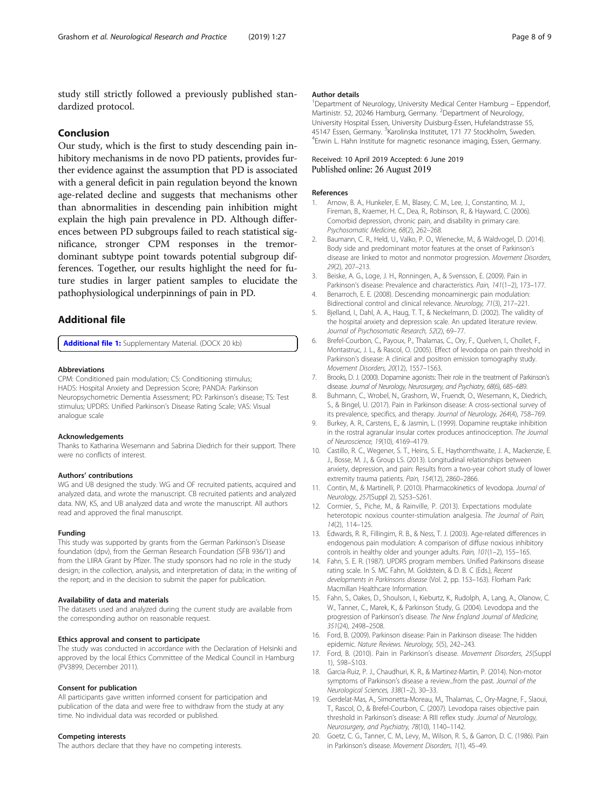<span id="page-7-0"></span>study still strictly followed a previously published standardized protocol.

## Conclusion

Our study, which is the first to study descending pain inhibitory mechanisms in de novo PD patients, provides further evidence against the assumption that PD is associated with a general deficit in pain regulation beyond the known age-related decline and suggests that mechanisms other than abnormalities in descending pain inhibition might explain the high pain prevalence in PD. Although differences between PD subgroups failed to reach statistical significance, stronger CPM responses in the tremordominant subtype point towards potential subgroup differences. Together, our results highlight the need for future studies in larger patient samples to elucidate the pathophysiological underpinnings of pain in PD.

## Additional file

[Additional file 1:](https://doi.org/10.1186/s42466-019-0029-x) Supplementary Material. (DOCX 20 kb)

## Abbreviations

CPM: Conditioned pain modulation; CS: Conditioning stimulus; HADS: Hospital Anxiety and Depression Score; PANDA: Parkinson Neuropsychometric Dementia Assessment; PD: Parkinson's disease; TS: Test stimulus; UPDRS: Unified Parkinson's Disease Rating Scale; VAS: Visual analogue scale

#### Acknowledgements

Thanks to Katharina Wesemann and Sabrina Diedrich for their support. There were no conflicts of interest.

#### Authors' contributions

WG and UB designed the study. WG and OF recruited patients, acquired and analyzed data, and wrote the manuscript. CB recruited patients and analyzed data. NW, KS, and UB analyzed data and wrote the manuscript. All authors read and approved the final manuscript.

## Funding

This study was supported by grants from the German Parkinson's Disease foundation (dpv), from the German Research Foundation (SFB 936/1) and from the LIIRA Grant by Pfizer. The study sponsors had no role in the study design; in the collection, analysis, and interpretation of data; in the writing of the report; and in the decision to submit the paper for publication.

## Availability of data and materials

The datasets used and analyzed during the current study are available from the corresponding author on reasonable request.

## Ethics approval and consent to participate

The study was conducted in accordance with the Declaration of Helsinki and approved by the local Ethics Committee of the Medical Council in Hamburg (PV3899, December 2011).

## Consent for publication

All participants gave written informed consent for participation and publication of the data and were free to withdraw from the study at any time. No individual data was recorded or published.

## Competing interests

The authors declare that they have no competing interests.

#### Author details

<sup>1</sup>Department of Neurology, University Medical Center Hamburg - Eppendorf, Martinistr. 52, 20246 Hamburg, Germany. <sup>2</sup>Department of Neurology University Hospital Essen, University Duisburg-Essen, Hufelandstrasse 55, 45147 Essen, Germany. <sup>3</sup>Karolinska Institutet, 171 77 Stockholm, Sweden.<br><sup>4</sup>Envin L. Habb Institute for magnetic resonance imaging. Essen German <sup>4</sup> Erwin L. Hahn Institute for magnetic resonance imaging, Essen, Germany.

## Received: 10 April 2019 Accepted: 6 June 2019 Published online: 26 August 2019

#### References

- 1. Arnow, B. A., Hunkeler, E. M., Blasey, C. M., Lee, J., Constantino, M. J., Fireman, B., Kraemer, H. C., Dea, R., Robinson, R., & Hayward, C. (2006). Comorbid depression, chronic pain, and disability in primary care. Psychosomatic Medicine, 68(2), 262–268.
- 2. Baumann, C. R., Held, U., Valko, P. O., Wienecke, M., & Waldvogel, D. (2014). Body side and predominant motor features at the onset of Parkinson's disease are linked to motor and nonmotor progression. Movement Disorders, 29(2), 207–213.
- 3. Beiske, A. G., Loge, J. H., Ronningen, A., & Svensson, E. (2009). Pain in Parkinson's disease: Prevalence and characteristics. Pain, 141(1-2), 173-177.
- 4. Benarroch, E. E. (2008). Descending monoaminergic pain modulation: Bidirectional control and clinical relevance. Neurology, 71(3), 217–221.
- 5. Bjelland, I., Dahl, A. A., Haug, T. T., & Neckelmann, D. (2002). The validity of the hospital anxiety and depression scale. An updated literature review. Journal of Psychosomatic Research, 52(2), 69–77.
- 6. Brefel-Courbon, C., Payoux, P., Thalamas, C., Ory, F., Quelven, I., Chollet, F., Montastruc, J. L., & Rascol, O. (2005). Effect of levodopa on pain threshold in Parkinson's disease: A clinical and positron emission tomography study. Movement Disorders, 20(12), 1557–1563.
- 7. Brooks, D. J. (2000). Dopamine agonists: Their role in the treatment of Parkinson's disease. Journal of Neurology, Neurosurgery, and Psychiatry, 68(6), 685–689.
- 8. Buhmann, C., Wrobel, N., Grashorn, W., Fruendt, O., Wesemann, K., Diedrich, S., & Bingel, U. (2017). Pain in Parkinson disease: A cross-sectional survey of its prevalence, specifics, and therapy. Journal of Neurology, 264(4), 758–769.
- 9. Burkey, A. R., Carstens, E., & Jasmin, L. (1999). Dopamine reuptake inhibition in the rostral agranular insular cortex produces antinociception. The Journal of Neuroscience, 19(10), 4169–4179.
- 10. Castillo, R. C., Wegener, S. T., Heins, S. E., Haythornthwaite, J. A., Mackenzie, E. J., Bosse, M. J., & Group LS. (2013). Longitudinal relationships between anxiety, depression, and pain: Results from a two-year cohort study of lower extremity trauma patients. Pain, 154(12), 2860-2866.
- 11. Contin, M., & Martinelli, P. (2010). Pharmacokinetics of levodopa. Journal of Neurology, 257(Suppl 2), S253–S261.
- 12. Cormier, S., Piche, M., & Rainville, P. (2013). Expectations modulate heterotopic noxious counter-stimulation analgesia. The Journal of Pain, 14(2), 114–125.
- 13. Edwards, R. R., Fillingim, R. B., & Ness, T. J. (2003). Age-related differences in endogenous pain modulation: A comparison of diffuse noxious inhibitory controls in healthy older and younger adults. Pain, 101(1-2), 155-165.
- 14. Fahn, S. E. R. (1987). UPDRS program members. Unified Parkinsons disease rating scale. In S. MC Fahn, M. Goldstein, & D. B. C (Eds.), Recent developments in Parkinsons disease (Vol. 2, pp. 153–163). Florham Park: Macmillan Healthcare Information.
- 15. Fahn, S., Oakes, D., Shoulson, I., Kieburtz, K., Rudolph, A., Lang, A., Olanow, C. W., Tanner, C., Marek, K., & Parkinson Study, G. (2004). Levodopa and the progression of Parkinson's disease. The New England Journal of Medicine, 351(24), 2498–2508.
- 16. Ford, B. (2009). Parkinson disease: Pain in Parkinson disease: The hidden epidemic. Nature Reviews. Neurology, 5(5), 242–243.
- 17. Ford, B. (2010). Pain in Parkinson's disease. Movement Disorders, 25(Suppl 1), S98–S103.
- 18. Garcia-Ruiz, P. J., Chaudhuri, K. R., & Martinez-Martin, P. (2014). Non-motor symptoms of Parkinson's disease a review...from the past. Journal of the Neurological Sciences, 338(1–2), 30–33.
- 19. Gerdelat-Mas, A., Simonetta-Moreau, M., Thalamas, C., Ory-Magne, F., Slaoui, T., Rascol, O., & Brefel-Courbon, C. (2007). Levodopa raises objective pain threshold in Parkinson's disease: A RIII reflex study. Journal of Neurology, Neurosurgery, and Psychiatry, 78(10), 1140–1142.
- 20. Goetz, C. G., Tanner, C. M., Levy, M., Wilson, R. S., & Garron, D. C. (1986). Pain in Parkinson's disease. Movement Disorders, 1(1), 45–49.